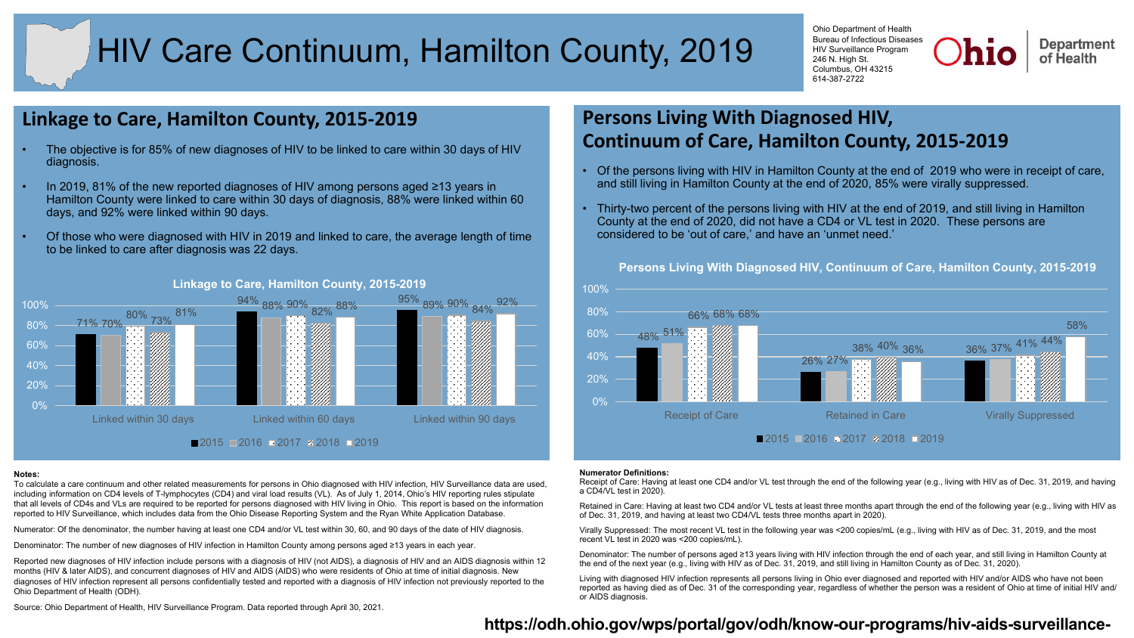# HIV Care Continuum, Hamilton County, 2019

Ohio Department of Health Bureau of Infectious Diseases HIV Surveillance Program 246 N. High St. Columbus, OH 43215 614-387-2722



# **Linkage to Care, Hamilton County, 2015-2019**

- The objective is for 85% of new diagnoses of HIV to be linked to care within 30 days of HIV diagnosis.
- In 2019, 81% of the new reported diagnoses of HIV among persons aged ≥13 years in Hamilton County were linked to care within 30 days of diagnosis, 88% were linked within 60 days, and 92% were linked within 90 days.
- Of those who were diagnosed with HIV in 2019 and linked to care, the average length of time to be linked to care after diagnosis was 22 days.



### **Linkage to Care, Hamilton County, 2015-2019**

### **Notes:**

To calculate a care continuum and other related measurements for persons in Ohio diagnosed with HIV infection, HIV Surveillance data are used, including information on CD4 levels of T-lymphocytes (CD4) and viral load results (VL). As of July 1, 2014, Ohio's HIV reporting rules stipulate that all levels of CD4s and VLs are required to be reported for persons diagnosed with HIV living in Ohio. This report is based on the information reported to HIV Surveillance, which includes data from the Ohio Disease Reporting System and the Ryan White Application Database.

Numerator: Of the denominator, the number having at least one CD4 and/or VL test within 30, 60, and 90 days of the date of HIV diagnosis.

Denominator: The number of new diagnoses of HIV infection in Hamilton County among persons aged ≥13 years in each year.

Reported new diagnoses of HIV infection include persons with a diagnosis of HIV (not AIDS), a diagnosis of HIV and an AIDS diagnosis within 12 months (HIV & later AIDS), and concurrent diagnoses of HIV and AIDS (AIDS) who were residents of Ohio at time of initial diagnosis. New diagnoses of HIV infection represent all persons confidentially tested and reported with a diagnosis of HIV infection not previously reported to the Ohio Department of Health (ODH).

Source: Ohio Department of Health, HIV Surveillance Program. Data reported through April 30, 2021.

# **Persons Living With Diagnosed HIV, Continuum of Care, Hamilton County, 2015-2019**

- Of the persons living with HIV in Hamilton County at the end of 2019 who were in receipt of care, and still living in Hamilton County at the end of 2020, 85% were virally suppressed.
- Thirty-two percent of the persons living with HIV at the end of 2019, and still living in Hamilton County at the end of 2020, did not have a CD4 or VL test in 2020. These persons are considered to be 'out of care,' and have an 'unmet need.'



**Persons Living With Diagnosed HIV, Continuum of Care, Hamilton County, 2015-2019**

### **Numerator Definitions:**

Receipt of Care: Having at least one CD4 and/or VL test through the end of the following year (e.g., living with HIV as of Dec. 31, 2019, and having a CD4/VL test in 2020).

Retained in Care: Having at least two CD4 and/or VL tests at least three months apart through the end of the following year (e.g., living with HIV as of Dec. 31, 2019, and having at least two CD4/VL tests three months apart in 2020).

Virally Suppressed: The most recent VL test in the following year was <200 copies/mL (e.g., living with HIV as of Dec. 31, 2019, and the most recent VL test in 2020 was <200 copies/mL).

Denominator: The number of persons aged ≥13 years living with HIV infection through the end of each year, and still living in Hamilton County at the end of the next year (e.g., living with HIV as of Dec. 31, 2019, and still living in Hamilton County as of Dec. 31, 2020).

Living with diagnosed HIV infection represents all persons living in Ohio ever diagnosed and reported with HIV and/or AIDS who have not been reported as having died as of Dec. 31 of the corresponding year, regardless of whether the person was a resident of Ohio at time of initial HIV and/ or AIDS diagnosis.

# **[https://odh.ohio.gov/wps/portal/gov/odh/know-our-programs/hiv-aids-surveillance-](https://odh.ohio.gov/wps/portal/gov/odh/know-our-programs/hiv-aids-surveillance-program)**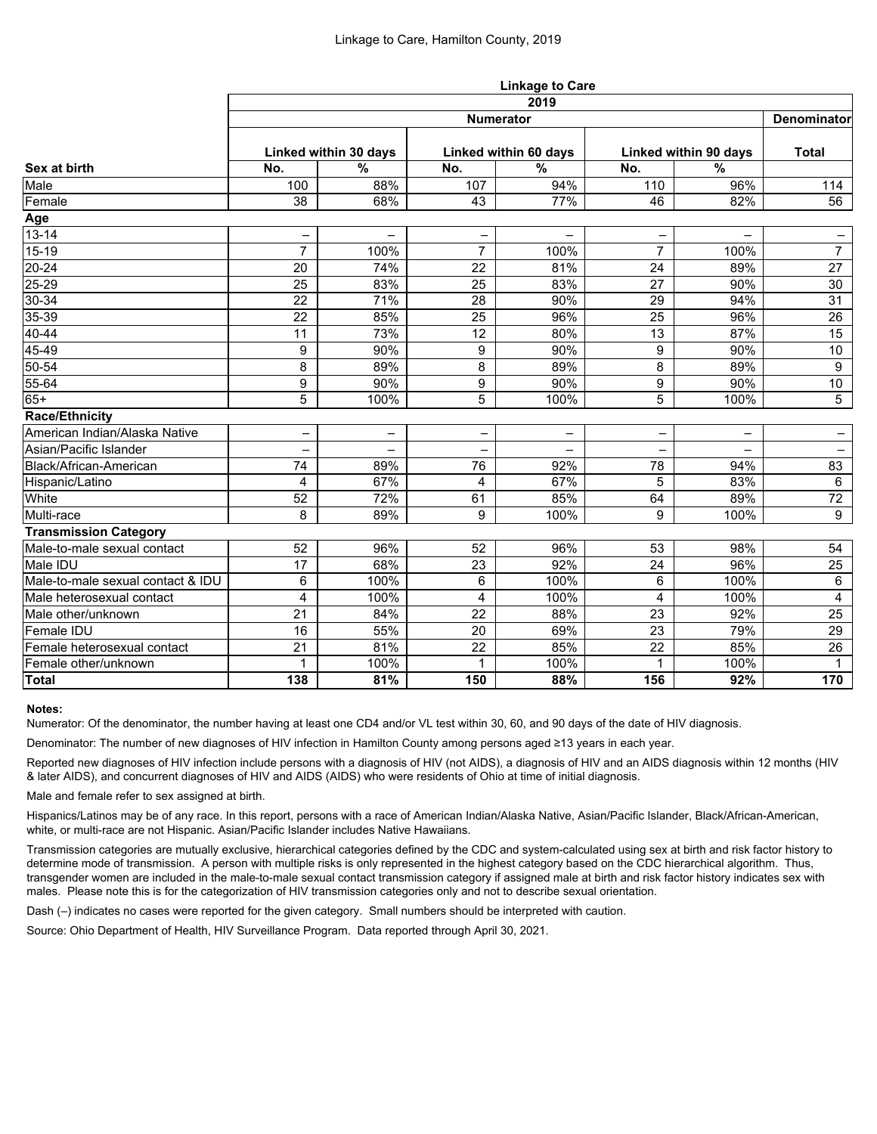|                                   |                          |                          | <b>Linkage to Care</b>  |                       |                          |                          |                          |  |  |  |
|-----------------------------------|--------------------------|--------------------------|-------------------------|-----------------------|--------------------------|--------------------------|--------------------------|--|--|--|
|                                   | 2019                     |                          |                         |                       |                          |                          |                          |  |  |  |
| Sex at birth                      | <b>Numerator</b>         |                          |                         |                       |                          |                          |                          |  |  |  |
|                                   | Linked within 30 days    |                          |                         | Linked within 60 days |                          | Linked within 90 days    |                          |  |  |  |
|                                   | No.                      | $\frac{0}{0}$            | No.                     | $\%$                  | No.                      | $\frac{9}{6}$            |                          |  |  |  |
| Male                              | 100                      | 88%                      | 107                     | 94%                   | 110                      | 96%                      | 114                      |  |  |  |
| Female                            | 38                       | 68%                      | 43                      | 77%                   | 46                       | 82%                      | 56                       |  |  |  |
| Age                               |                          |                          |                         |                       |                          |                          |                          |  |  |  |
| $13 - 14$                         | -                        | -                        | -                       | —                     | $\overline{\phantom{0}}$ | $\overline{\phantom{0}}$ | -                        |  |  |  |
| $15-19$                           | $\overline{7}$           | 100%                     | $\overline{7}$          | 100%                  | $\overline{7}$           | 100%                     | $\overline{7}$           |  |  |  |
| $20 - 24$                         | 20                       | 74%                      | 22                      | 81%                   | 24                       | 89%                      | $\overline{27}$          |  |  |  |
| $25 - 29$                         | 25                       | 83%                      | 25                      | 83%                   | 27                       | 90%                      | 30                       |  |  |  |
| $30 - 34$                         | 22                       | 71%                      | 28                      | 90%                   | 29                       | 94%                      | 31                       |  |  |  |
| 35-39                             | 22                       | 85%                      | 25                      | 96%                   | 25                       | 96%                      | 26                       |  |  |  |
| $40 - 44$                         | 11                       | 73%                      | 12                      | 80%                   | 13                       | 87%                      | 15                       |  |  |  |
| 45-49                             | 9                        | 90%                      | 9                       | 90%                   | 9                        | 90%                      | 10 <sup>°</sup>          |  |  |  |
| 50-54                             | 8                        | 89%                      | 8                       | 89%                   | 8                        | 89%                      | 9                        |  |  |  |
| 55-64                             | 9                        | 90%                      | 9                       | 90%                   | 9                        | 90%                      | 10                       |  |  |  |
| $65+$                             | 5                        | 100%                     | 5                       | 100%                  | 5                        | 100%                     | 5                        |  |  |  |
| <b>Race/Ethnicity</b>             |                          |                          |                         |                       |                          |                          |                          |  |  |  |
| American Indian/Alaska Native     | -                        | -                        |                         | —                     |                          | —                        |                          |  |  |  |
| Asian/Pacific Islander            | $\overline{\phantom{0}}$ | $\overline{\phantom{0}}$ |                         |                       |                          |                          | $\overline{\phantom{0}}$ |  |  |  |
| Black/African-American            | 74                       | 89%                      | 76                      | 92%                   | 78                       | 94%                      | 83                       |  |  |  |
| Hispanic/Latino                   | 4                        | 67%                      | 4                       | 67%                   | 5                        | 83%                      | $6\phantom{.}6$          |  |  |  |
| White                             | 52                       | 72%                      | 61                      | 85%                   | 64                       | 89%                      | 72                       |  |  |  |
| Multi-race                        | 8                        | 89%                      | 9                       | 100%                  | 9                        | 100%                     | 9                        |  |  |  |
| <b>Transmission Category</b>      |                          |                          |                         |                       |                          |                          |                          |  |  |  |
| Male-to-male sexual contact       | 52                       | 96%                      | 52                      | 96%                   | 53                       | 98%                      | 54                       |  |  |  |
| Male IDU                          | 17                       | 68%                      | 23                      | 92%                   | 24                       | 96%                      | 25                       |  |  |  |
| Male-to-male sexual contact & IDU | 6                        | 100%                     | 6                       | 100%                  | 6                        | 100%                     | 6                        |  |  |  |
| Male heterosexual contact         | $\overline{4}$           | 100%                     | $\overline{\mathbf{4}}$ | 100%                  | $\overline{4}$           | 100%                     | $\overline{4}$           |  |  |  |
| Male other/unknown                | 21                       | 84%                      | 22                      | 88%                   | 23                       | 92%                      | 25                       |  |  |  |
| <b>Female IDU</b>                 | 16                       | 55%                      | 20                      | 69%                   | 23                       | 79%                      | 29                       |  |  |  |
| Female heterosexual contact       | 21                       | 81%                      | 22                      | 85%                   | 22                       | 85%                      | 26                       |  |  |  |
| Female other/unknown              | 1                        | 100%                     |                         | 100%                  | $\mathbf{1}$             | 100%                     | $\mathbf{1}$             |  |  |  |
| Total                             | 138                      | 81%                      | 150                     | 88%                   | 156                      | 92%                      | 170                      |  |  |  |

# **Notes:**

Numerator: Of the denominator, the number having at least one CD4 and/or VL test within 30, 60, and 90 days of the date of HIV diagnosis.

Denominator: The number of new diagnoses of HIV infection in Hamilton County among persons aged ≥13 years in each year.

Reported new diagnoses of HIV infection include persons with a diagnosis of HIV (not AIDS), a diagnosis of HIV and an AIDS diagnosis within 12 months (HIV & later AIDS), and concurrent diagnoses of HIV and AIDS (AIDS) who were residents of Ohio at time of initial diagnosis.

Male and female refer to sex assigned at birth.

Hispanics/Latinos may be of any race. In this report, persons with a race of American Indian/Alaska Native, Asian/Pacific Islander, Black/African-American, white, or multi-race are not Hispanic. Asian/Pacific Islander includes Native Hawaiians.

Transmission categories are mutually exclusive, hierarchical categories defined by the CDC and system-calculated using sex at birth and risk factor history to determine mode of transmission. A person with multiple risks is only represented in the highest category based on the CDC hierarchical algorithm. Thus, transgender women are included in the male-to-male sexual contact transmission category if assigned male at birth and risk factor history indicates sex with males. Please note this is for the categorization of HIV transmission categories only and not to describe sexual orientation.

Dash (–) indicates no cases were reported for the given category. Small numbers should be interpreted with caution.

Source: Ohio Department of Health, HIV Surveillance Program. Data reported through April 30, 2021.